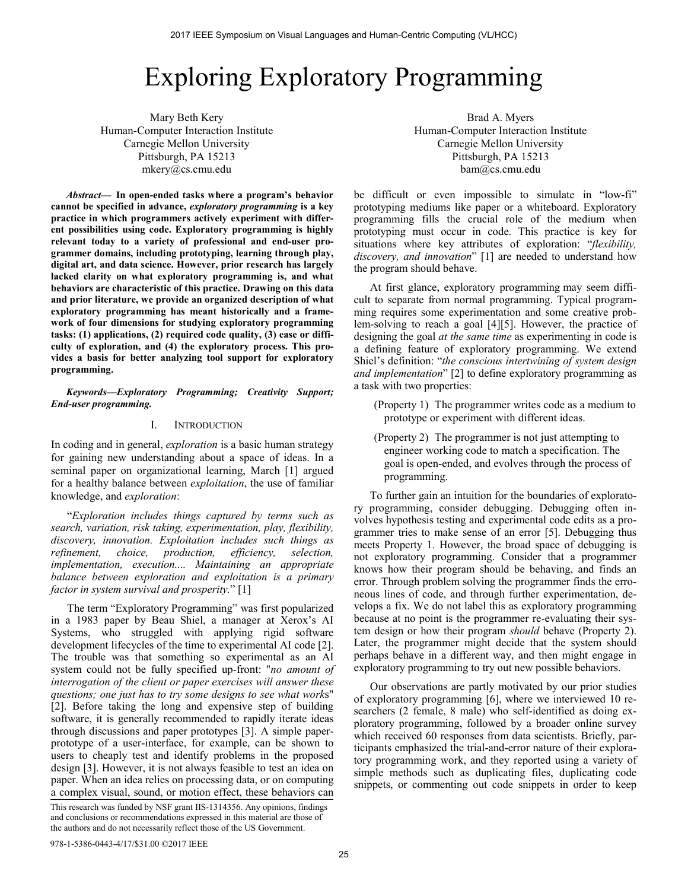# Exploring Exploratory Programming

Mary Beth Kery Human-Computer Interaction Institute Carnegie Mellon University Pittsburgh, PA 15213 mkery@cs.cmu.edu

*Abstract***— In open-ended tasks where a program's behavior cannot be specified in advance,** *exploratory programming* **is a key practice in which programmers actively experiment with different possibilities using code. Exploratory programming is highly relevant today to a variety of professional and end-user programmer domains, including prototyping, learning through play, digital art, and data science. However, prior research has largely lacked clarity on what exploratory programming is, and what behaviors are characteristic of this practice. Drawing on this data and prior literature, we provide an organized description of what exploratory programming has meant historically and a framework of four dimensions for studying exploratory programming tasks: (1) applications, (2) required code quality, (3) ease or difficulty of exploration, and (4) the exploratory process. This provides a basis for better analyzing tool support for exploratory programming.** 

*Keywords—Exploratory Programming; Creativity Support; End-user programming.* 

#### I. INTRODUCTION

In coding and in general, *exploration* is a basic human strategy for gaining new understanding about a space of ideas. In a seminal paper on organizational learning, March [1] argued for a healthy balance between *exploitation*, the use of familiar knowledge, and *exploration*:

"*Exploration includes things captured by terms such as search, variation, risk taking, experimentation, play, flexibility, discovery, innovation. Exploitation includes such things as refinement, choice, production, efficiency, selection, implementation, execution.... Maintaining an appropriate balance between exploration and exploitation is a primary factor in system survival and prosperity.*" [1]

The term "Exploratory Programming" was first popularized in a 1983 paper by Beau Shiel, a manager at Xerox's AI Systems, who struggled with applying rigid software development lifecycles of the time to experimental AI code [2]. The trouble was that something so experimental as an AI system could not be fully specified up-front: "*no amount of interrogation of the client or paper exercises will answer these questions; one just has to try some designs to see what work*s" [2]. Before taking the long and expensive step of building software, it is generally recommended to rapidly iterate ideas through discussions and paper prototypes [3]. A simple paperprototype of a user-interface, for example, can be shown to users to cheaply test and identify problems in the proposed design [3]. However, it is not always feasible to test an idea on paper. When an idea relies on processing data, or on computing a complex visual, sound, or motion effect, these behaviors can

Brad A. Myers Human-Computer Interaction Institute Carnegie Mellon University Pittsburgh, PA 15213 bam@cs.cmu.edu

be difficult or even impossible to simulate in "low-fi" prototyping mediums like paper or a whiteboard. Exploratory programming fills the crucial role of the medium when prototyping must occur in code. This practice is key for situations where key attributes of exploration: "*flexibility, discovery, and innovation*" [1] are needed to understand how the program should behave.

At first glance, exploratory programming may seem difficult to separate from normal programming. Typical programming requires some experimentation and some creative problem-solving to reach a goal [4][5]. However, the practice of designing the goal *at the same time* as experimenting in code is a defining feature of exploratory programming. We extend Shiel's definition: "*the conscious intertwining of system design and implementation*" [2] to define exploratory programming as a task with two properties:

- (Property 1) The programmer writes code as a medium to prototype or experiment with different ideas.
- (Property 2) The programmer is not just attempting to engineer working code to match a specification. The goal is open-ended, and evolves through the process of programming.

To further gain an intuition for the boundaries of exploratory programming, consider debugging. Debugging often involves hypothesis testing and experimental code edits as a programmer tries to make sense of an error [5]. Debugging thus meets Property 1. However, the broad space of debugging is not exploratory programming. Consider that a programmer knows how their program should be behaving, and finds an error. Through problem solving the programmer finds the erroneous lines of code, and through further experimentation, develops a fix. We do not label this as exploratory programming because at no point is the programmer re-evaluating their system design or how their program *should* behave (Property 2). Later, the programmer might decide that the system should perhaps behave in a different way, and then might engage in exploratory programming to try out new possible behaviors.

Our observations are partly motivated by our prior studies of exploratory programming [6], where we interviewed 10 researchers (2 female, 8 male) who self-identified as doing exploratory programming, followed by a broader online survey which received 60 responses from data scientists. Briefly, participants emphasized the trial-and-error nature of their exploratory programming work, and they reported using a variety of simple methods such as duplicating files, duplicating code snippets, or commenting out code snippets in order to keep

This research was funded by NSF grant IIS-1314356. Any opinions, findings and conclusions or recommendations expressed in this material are those of the authors and do not necessarily reflect those of the US Government.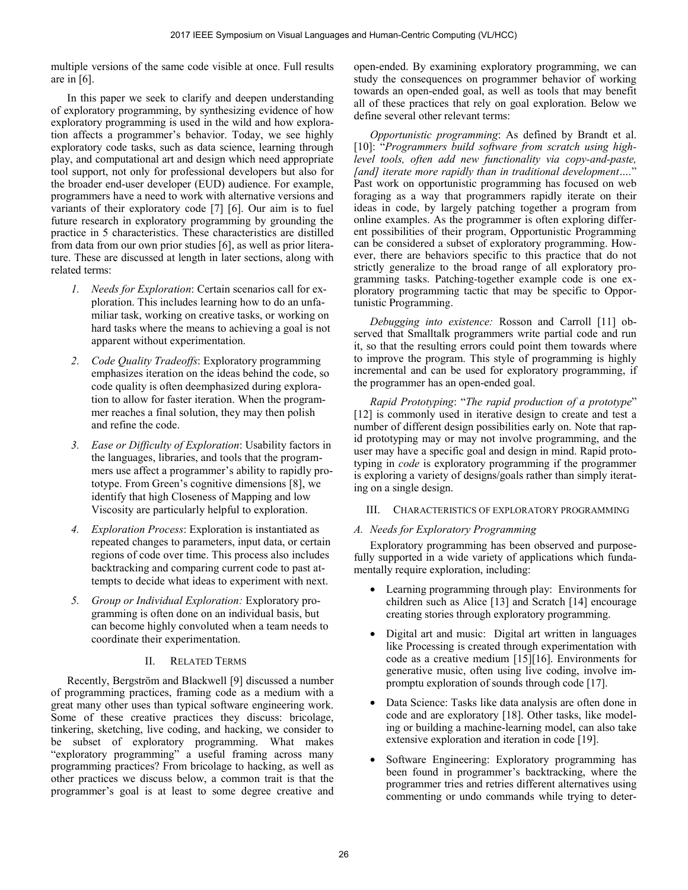multiple versions of the same code visible at once. Full results are in  $[6]$ .

In this paper we seek to clarify and deepen understanding of exploratory programming, by synthesizing evidence of how exploratory programming is used in the wild and how exploration affects a programmer's behavior. Today, we see highly exploratory code tasks, such as data science, learning through play, and computational art and design which need appropriate tool support, not only for professional developers but also for the broader end-user developer (EUD) audience. For example, programmers have a need to work with alternative versions and variants of their exploratory code [7] [6]. Our aim is to fuel future research in exploratory programming by grounding the practice in 5 characteristics. These characteristics are distilled from data from our own prior studies [6], as well as prior literature. These are discussed at length in later sections, along with related terms:

- *1. Needs for Exploration*: Certain scenarios call for exploration. This includes learning how to do an unfamiliar task, working on creative tasks, or working on hard tasks where the means to achieving a goal is not apparent without experimentation.
- *2. Code Quality Tradeoffs*: Exploratory programming emphasizes iteration on the ideas behind the code, so code quality is often deemphasized during exploration to allow for faster iteration. When the programmer reaches a final solution, they may then polish and refine the code.
- *3. Ease or Difficulty of Exploration*: Usability factors in the languages, libraries, and tools that the programmers use affect a programmer's ability to rapidly prototype. From Green's cognitive dimensions [8], we identify that high Closeness of Mapping and low Viscosity are particularly helpful to exploration.
- *4. Exploration Process*: Exploration is instantiated as repeated changes to parameters, input data, or certain regions of code over time. This process also includes backtracking and comparing current code to past attempts to decide what ideas to experiment with next.
- *5. Group or Individual Exploration:* Exploratory programming is often done on an individual basis, but can become highly convoluted when a team needs to coordinate their experimentation.

# II. RELATED TERMS

Recently, Bergström and Blackwell [9] discussed a number of programming practices, framing code as a medium with a great many other uses than typical software engineering work. Some of these creative practices they discuss: bricolage, tinkering, sketching, live coding, and hacking, we consider to be subset of exploratory programming. What makes "exploratory programming" a useful framing across many programming practices? From bricolage to hacking, as well as other practices we discuss below, a common trait is that the programmer's goal is at least to some degree creative and open-ended. By examining exploratory programming, we can study the consequences on programmer behavior of working towards an open-ended goal, as well as tools that may benefit all of these practices that rely on goal exploration. Below we define several other relevant terms:

*Opportunistic programming*: As defined by Brandt et al. [10]: "*Programmers build software from scratch using highlevel tools, often add new functionality via copy-and-paste,*  [and] iterate more rapidly than in traditional development....<sup>"</sup> Past work on opportunistic programming has focused on web foraging as a way that programmers rapidly iterate on their ideas in code, by largely patching together a program from online examples. As the programmer is often exploring different possibilities of their program, Opportunistic Programming can be considered a subset of exploratory programming. However, there are behaviors specific to this practice that do not strictly generalize to the broad range of all exploratory programming tasks. Patching-together example code is one exploratory programming tactic that may be specific to Opportunistic Programming.

*Debugging into existence:* Rosson and Carroll [11] observed that Smalltalk programmers write partial code and run it, so that the resulting errors could point them towards where to improve the program. This style of programming is highly incremental and can be used for exploratory programming, if the programmer has an open-ended goal.

*Rapid Prototyping*: "*The rapid production of a prototype*" [12] is commonly used in iterative design to create and test a number of different design possibilities early on. Note that rapid prototyping may or may not involve programming, and the user may have a specific goal and design in mind. Rapid prototyping in *code* is exploratory programming if the programmer is exploring a variety of designs/goals rather than simply iterating on a single design.

# III. CHARACTERISTICS OF EXPLORATORY PROGRAMMING

# *A. Needs for Exploratory Programming*

Exploratory programming has been observed and purposefully supported in a wide variety of applications which fundamentally require exploration, including:

- Learning programming through play: Environments for children such as Alice [13] and Scratch [14] encourage creating stories through exploratory programming.
- Digital art and music: Digital art written in languages like Processing is created through experimentation with code as a creative medium [15][16]. Environments for generative music, often using live coding, involve impromptu exploration of sounds through code [17].
- Data Science: Tasks like data analysis are often done in code and are exploratory [18]. Other tasks, like modeling or building a machine-learning model, can also take extensive exploration and iteration in code [19].
- Software Engineering: Exploratory programming has been found in programmer's backtracking, where the programmer tries and retries different alternatives using commenting or undo commands while trying to deter-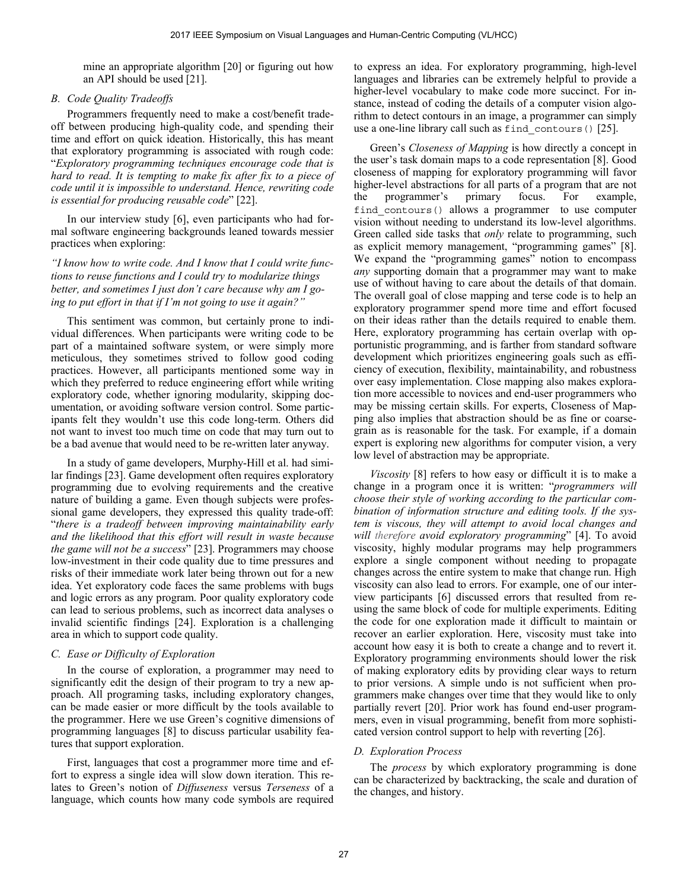mine an appropriate algorithm [20] or figuring out how an API should be used [21].

# *B. Code Quality Tradeoffs*

Programmers frequently need to make a cost/benefit tradeoff between producing high-quality code, and spending their time and effort on quick ideation. Historically, this has meant that exploratory programming is associated with rough code: "*Exploratory programming techniques encourage code that is hard to read. It is tempting to make fix after fix to a piece of code until it is impossible to understand. Hence, rewriting code is essential for producing reusable code*" [22].

In our interview study [6], even participants who had formal software engineering backgrounds leaned towards messier practices when exploring:

*"I know how to write code. And I know that I could write functions to reuse functions and I could try to modularize things better, and sometimes I just don't care because why am I going to put effort in that if I'm not going to use it again?"* 

This sentiment was common, but certainly prone to individual differences. When participants were writing code to be part of a maintained software system, or were simply more meticulous, they sometimes strived to follow good coding practices. However, all participants mentioned some way in which they preferred to reduce engineering effort while writing exploratory code, whether ignoring modularity, skipping documentation, or avoiding software version control. Some participants felt they wouldn't use this code long-term. Others did not want to invest too much time on code that may turn out to be a bad avenue that would need to be re-written later anyway.

In a study of game developers, Murphy-Hill et al. had similar findings [23]. Game development often requires exploratory programming due to evolving requirements and the creative nature of building a game. Even though subjects were professional game developers, they expressed this quality trade-off: "*there is a tradeoff between improving maintainability early and the likelihood that this effort will result in waste because the game will not be a success*" [23]. Programmers may choose low-investment in their code quality due to time pressures and risks of their immediate work later being thrown out for a new idea. Yet exploratory code faces the same problems with bugs and logic errors as any program. Poor quality exploratory code can lead to serious problems, such as incorrect data analyses o invalid scientific findings [24]. Exploration is a challenging area in which to support code quality.

#### *C. Ease or Difficulty of Exploration*

In the course of exploration, a programmer may need to significantly edit the design of their program to try a new approach. All programing tasks, including exploratory changes, can be made easier or more difficult by the tools available to the programmer. Here we use Green's cognitive dimensions of programming languages [8] to discuss particular usability features that support exploration.

First, languages that cost a programmer more time and effort to express a single idea will slow down iteration. This relates to Green's notion of *Diffuseness* versus *Terseness* of a language, which counts how many code symbols are required to express an idea. For exploratory programming, high-level languages and libraries can be extremely helpful to provide a higher-level vocabulary to make code more succinct. For instance, instead of coding the details of a computer vision algorithm to detect contours in an image, a programmer can simply use a one-line library call such as find contours () [25].

Green's *Closeness of Mapping* is how directly a concept in the user's task domain maps to a code representation [8]. Good closeness of mapping for exploratory programming will favor higher-level abstractions for all parts of a program that are not the programmer's primary focus. For example, find contours() allows a programmer to use computer vision without needing to understand its low-level algorithms. Green called side tasks that *only* relate to programming, such as explicit memory management, "programming games" [8]. We expand the "programming games" notion to encompass *any* supporting domain that a programmer may want to make use of without having to care about the details of that domain. The overall goal of close mapping and terse code is to help an exploratory programmer spend more time and effort focused on their ideas rather than the details required to enable them. Here, exploratory programming has certain overlap with opportunistic programming, and is farther from standard software development which prioritizes engineering goals such as efficiency of execution, flexibility, maintainability, and robustness over easy implementation. Close mapping also makes exploration more accessible to novices and end-user programmers who may be missing certain skills. For experts, Closeness of Mapping also implies that abstraction should be as fine or coarsegrain as is reasonable for the task. For example, if a domain expert is exploring new algorithms for computer vision, a very low level of abstraction may be appropriate.

*Viscosity* [8] refers to how easy or difficult it is to make a change in a program once it is written: "*programmers will choose their style of working according to the particular combination of information structure and editing tools. If the system is viscous, they will attempt to avoid local changes and will therefore avoid exploratory programming*" [4]. To avoid viscosity, highly modular programs may help programmers explore a single component without needing to propagate changes across the entire system to make that change run. High viscosity can also lead to errors. For example, one of our interview participants [6] discussed errors that resulted from reusing the same block of code for multiple experiments. Editing the code for one exploration made it difficult to maintain or recover an earlier exploration. Here, viscosity must take into account how easy it is both to create a change and to revert it. Exploratory programming environments should lower the risk of making exploratory edits by providing clear ways to return to prior versions. A simple undo is not sufficient when programmers make changes over time that they would like to only partially revert [20]. Prior work has found end-user programmers, even in visual programming, benefit from more sophisticated version control support to help with reverting [26].

# *D. Exploration Process*

The *process* by which exploratory programming is done can be characterized by backtracking, the scale and duration of the changes, and history.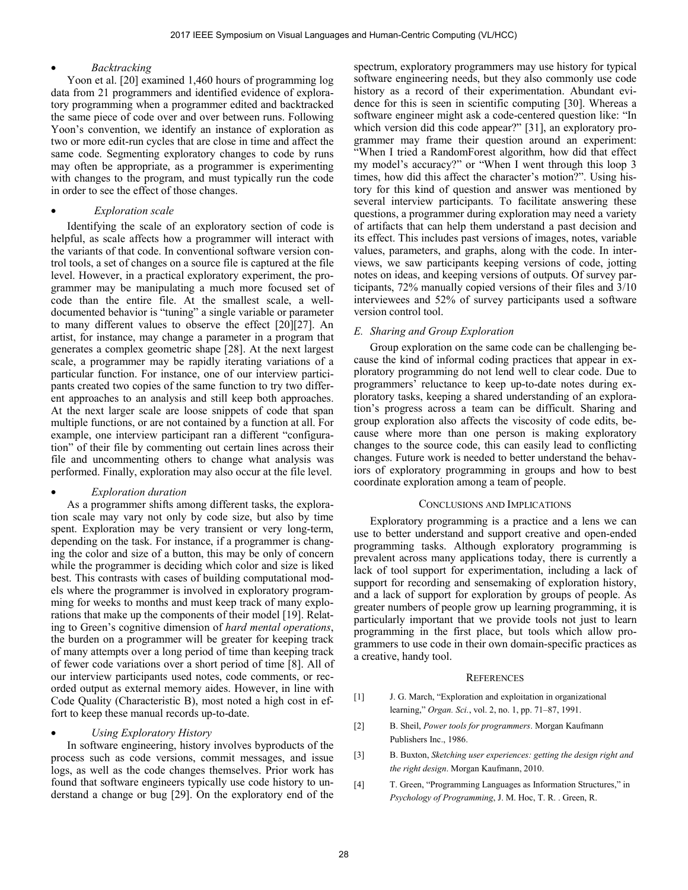#### • *Backtracking*

Yoon et al. [20] examined 1,460 hours of programming log data from 21 programmers and identified evidence of exploratory programming when a programmer edited and backtracked the same piece of code over and over between runs. Following Yoon's convention, we identify an instance of exploration as two or more edit-run cycles that are close in time and affect the same code. Segmenting exploratory changes to code by runs may often be appropriate, as a programmer is experimenting with changes to the program, and must typically run the code in order to see the effect of those changes.

• *Exploration scale* 

Identifying the scale of an exploratory section of code is helpful, as scale affects how a programmer will interact with the variants of that code. In conventional software version control tools, a set of changes on a source file is captured at the file level. However, in a practical exploratory experiment, the programmer may be manipulating a much more focused set of code than the entire file. At the smallest scale, a welldocumented behavior is "tuning" a single variable or parameter to many different values to observe the effect [20][27]. An artist, for instance, may change a parameter in a program that generates a complex geometric shape [28]. At the next largest scale, a programmer may be rapidly iterating variations of a particular function. For instance, one of our interview participants created two copies of the same function to try two different approaches to an analysis and still keep both approaches. At the next larger scale are loose snippets of code that span multiple functions, or are not contained by a function at all. For example, one interview participant ran a different "configuration" of their file by commenting out certain lines across their file and uncommenting others to change what analysis was performed. Finally, exploration may also occur at the file level.

#### • *Exploration duration*

As a programmer shifts among different tasks, the exploration scale may vary not only by code size, but also by time spent. Exploration may be very transient or very long-term, depending on the task. For instance, if a programmer is changing the color and size of a button, this may be only of concern while the programmer is deciding which color and size is liked best. This contrasts with cases of building computational models where the programmer is involved in exploratory programming for weeks to months and must keep track of many explorations that make up the components of their model [19]. Relating to Green's cognitive dimension of *hard mental operations*, the burden on a programmer will be greater for keeping track of many attempts over a long period of time than keeping track of fewer code variations over a short period of time [8]. All of our interview participants used notes, code comments, or recorded output as external memory aides. However, in line with Code Quality (Characteristic B), most noted a high cost in effort to keep these manual records up-to-date.

#### • *Using Exploratory History*

In software engineering, history involves byproducts of the process such as code versions, commit messages, and issue logs, as well as the code changes themselves. Prior work has found that software engineers typically use code history to understand a change or bug [29]. On the exploratory end of the spectrum, exploratory programmers may use history for typical software engineering needs, but they also commonly use code history as a record of their experimentation. Abundant evidence for this is seen in scientific computing [30]. Whereas a software engineer might ask a code-centered question like: "In which version did this code appear?" [31], an exploratory programmer may frame their question around an experiment: "When I tried a RandomForest algorithm, how did that effect my model's accuracy?" or "When I went through this loop 3 times, how did this affect the character's motion?". Using history for this kind of question and answer was mentioned by several interview participants. To facilitate answering these questions, a programmer during exploration may need a variety of artifacts that can help them understand a past decision and its effect. This includes past versions of images, notes, variable values, parameters, and graphs, along with the code. In interviews, we saw participants keeping versions of code, jotting notes on ideas, and keeping versions of outputs. Of survey participants, 72% manually copied versions of their files and 3/10 interviewees and 52% of survey participants used a software version control tool.

#### *E. Sharing and Group Exploration*

Group exploration on the same code can be challenging because the kind of informal coding practices that appear in exploratory programming do not lend well to clear code. Due to programmers' reluctance to keep up-to-date notes during exploratory tasks, keeping a shared understanding of an exploration's progress across a team can be difficult. Sharing and group exploration also affects the viscosity of code edits, because where more than one person is making exploratory changes to the source code, this can easily lead to conflicting changes. Future work is needed to better understand the behaviors of exploratory programming in groups and how to best coordinate exploration among a team of people.

#### CONCLUSIONS AND IMPLICATIONS

Exploratory programming is a practice and a lens we can use to better understand and support creative and open-ended programming tasks. Although exploratory programming is prevalent across many applications today, there is currently a lack of tool support for experimentation, including a lack of support for recording and sensemaking of exploration history, and a lack of support for exploration by groups of people. As greater numbers of people grow up learning programming, it is particularly important that we provide tools not just to learn programming in the first place, but tools which allow programmers to use code in their own domain-specific practices as a creative, handy tool.

#### **REFERENCES**

- [1] J. G. March, "Exploration and exploitation in organizational learning," *Organ. Sci.*, vol. 2, no. 1, pp. 71–87, 1991.
- [2] B. Sheil, *Power tools for programmers*. Morgan Kaufmann Publishers Inc., 1986.
- [3] B. Buxton, *Sketching user experiences: getting the design right and the right design*. Morgan Kaufmann, 2010.
- [4] T. Green, "Programming Languages as Information Structures," in *Psychology of Programming*, J. M. Hoc, T. R. . Green, R.